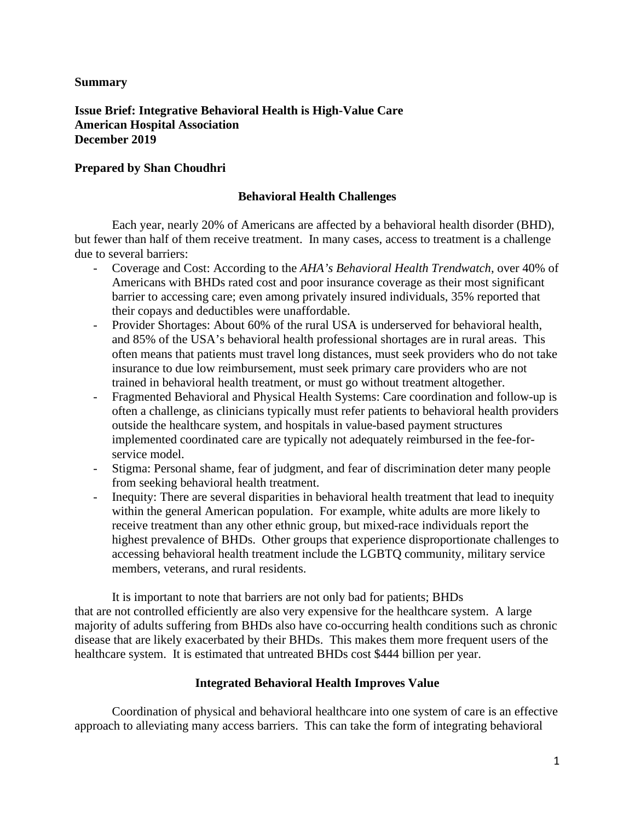## **Summary**

**Issue Brief: Integrative Behavioral Health is High-Value Care American Hospital Association December 2019**

## **Prepared by Shan Choudhri**

## **Behavioral Health Challenges**

Each year, nearly 20% of Americans are affected by a behavioral health disorder (BHD), but fewer than half of them receive treatment. In many cases, access to treatment is a challenge due to several barriers:

- Coverage and Cost: According to the *AHA's Behavioral Health Trendwatch*, over 40% of Americans with BHDs rated cost and poor insurance coverage as their most significant barrier to accessing care; even among privately insured individuals, 35% reported that their copays and deductibles were unaffordable.
- Provider Shortages: About 60% of the rural USA is underserved for behavioral health, and 85% of the USA's behavioral health professional shortages are in rural areas. This often means that patients must travel long distances, must seek providers who do not take insurance to due low reimbursement, must seek primary care providers who are not trained in behavioral health treatment, or must go without treatment altogether.
- Fragmented Behavioral and Physical Health Systems: Care coordination and follow-up is often a challenge, as clinicians typically must refer patients to behavioral health providers outside the healthcare system, and hospitals in value-based payment structures implemented coordinated care are typically not adequately reimbursed in the fee-forservice model.
- Stigma: Personal shame, fear of judgment, and fear of discrimination deter many people from seeking behavioral health treatment.
- Inequity: There are several disparities in behavioral health treatment that lead to inequity within the general American population. For example, white adults are more likely to receive treatment than any other ethnic group, but mixed-race individuals report the highest prevalence of BHDs. Other groups that experience disproportionate challenges to accessing behavioral health treatment include the LGBTQ community, military service members, veterans, and rural residents.

It is important to note that barriers are not only bad for patients; BHDs that are not controlled efficiently are also very expensive for the healthcare system. A large majority of adults suffering from BHDs also have co-occurring health conditions such as chronic disease that are likely exacerbated by their BHDs. This makes them more frequent users of the healthcare system. It is estimated that untreated BHDs cost \$444 billion per year.

## **Integrated Behavioral Health Improves Value**

Coordination of physical and behavioral healthcare into one system of care is an effective approach to alleviating many access barriers. This can take the form of integrating behavioral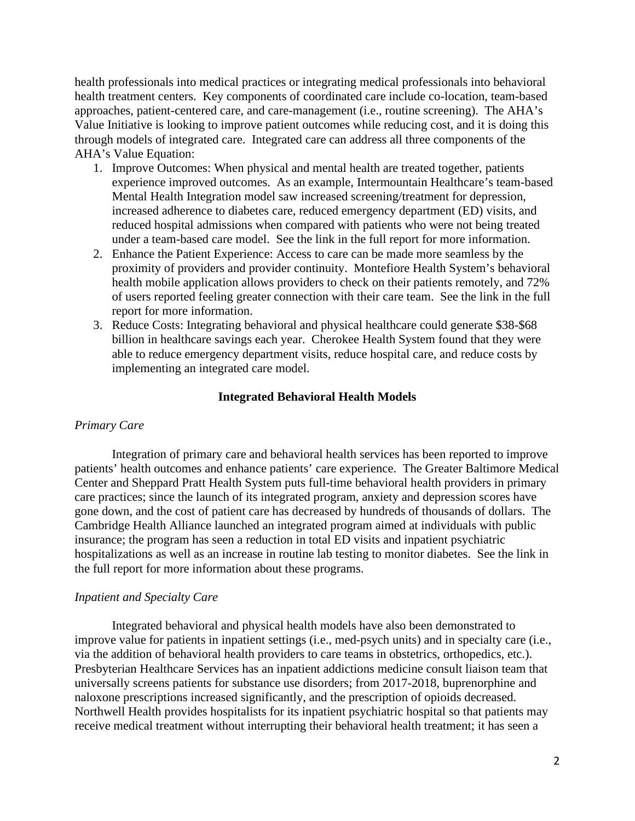health professionals into medical practices or integrating medical professionals into behavioral health treatment centers. Key components of coordinated care include co-location, team-based approaches, patient-centered care, and care-management (i.e., routine screening). The AHA's Value Initiative is looking to improve patient outcomes while reducing cost, and it is doing this through models of integrated care. Integrated care can address all three components of the AHA's Value Equation:

- 1. Improve Outcomes: When physical and mental health are treated together, patients experience improved outcomes. As an example, Intermountain Healthcare's team-based Mental Health Integration model saw increased screening/treatment for depression, increased adherence to diabetes care, reduced emergency department (ED) visits, and reduced hospital admissions when compared with patients who were not being treated under a team-based care model. See the link in the full report for more information.
- 2. Enhance the Patient Experience: Access to care can be made more seamless by the proximity of providers and provider continuity. Montefiore Health System's behavioral health mobile application allows providers to check on their patients remotely, and 72% of users reported feeling greater connection with their care team. See the link in the full report for more information.
- 3. Reduce Costs: Integrating behavioral and physical healthcare could generate \$38-\$68 billion in healthcare savings each year. Cherokee Health System found that they were able to reduce emergency department visits, reduce hospital care, and reduce costs by implementing an integrated care model.

### **Integrated Behavioral Health Models**

#### *Primary Care*

Integration of primary care and behavioral health services has been reported to improve patients' health outcomes and enhance patients' care experience. The Greater Baltimore Medical Center and Sheppard Pratt Health System puts full-time behavioral health providers in primary care practices; since the launch of its integrated program, anxiety and depression scores have gone down, and the cost of patient care has decreased by hundreds of thousands of dollars. The Cambridge Health Alliance launched an integrated program aimed at individuals with public insurance; the program has seen a reduction in total ED visits and inpatient psychiatric hospitalizations as well as an increase in routine lab testing to monitor diabetes. See the link in the full report for more information about these programs.

#### *Inpatient and Specialty Care*

Integrated behavioral and physical health models have also been demonstrated to improve value for patients in inpatient settings (i.e., med-psych units) and in specialty care (i.e., via the addition of behavioral health providers to care teams in obstetrics, orthopedics, etc.). Presbyterian Healthcare Services has an inpatient addictions medicine consult liaison team that universally screens patients for substance use disorders; from 2017-2018, buprenorphine and naloxone prescriptions increased significantly, and the prescription of opioids decreased. Northwell Health provides hospitalists for its inpatient psychiatric hospital so that patients may receive medical treatment without interrupting their behavioral health treatment; it has seen a